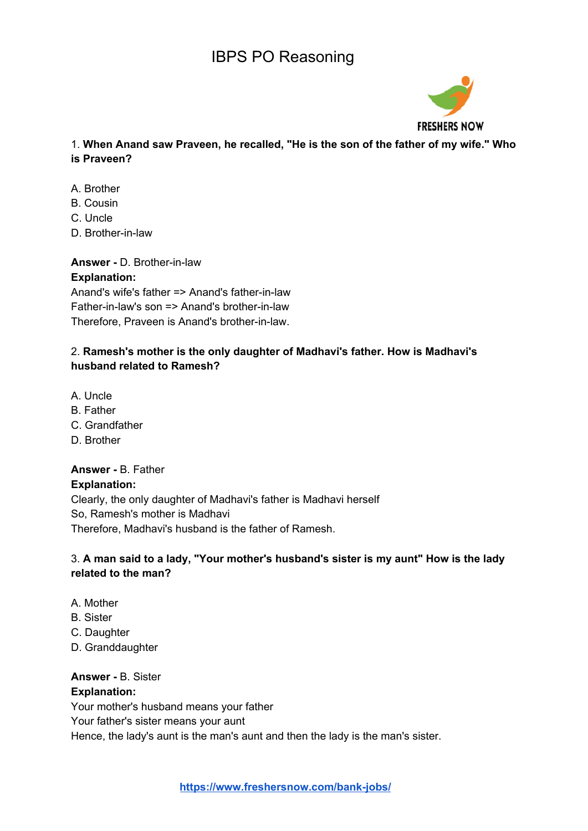

1. **When Anand saw Praveen, he recalled, "He is the son of the father of my wife." Who is Praveen?**

- A. Brother
- B. Cousin
- C. Uncle
- D. Brother-in-law

**Answer -** D. Brother-in-law **Explanation:** Anand's wife's father => Anand's father-in-law Father-in-law's son => Anand's brother-in-law Therefore, Praveen is Anand's brother-in-law.

## 2. **Ramesh's mother is the only daughter of Madhavi's father. How is Madhavi's husband related to Ramesh?**

- A. Uncle
- B. Father
- C. Grandfather
- D. Brother

# **Answer -** B. Father

**Explanation:** Clearly, the only daughter of Madhavi's father is Madhavi herself So, Ramesh's mother is Madhavi Therefore, Madhavi's husband is the father of Ramesh.

## 3. **A man said to a lady, "Your mother's husband's sister is my aunt" How is the lady related to the man?**

- A. Mother
- B. Sister
- C. Daughter
- D. Granddaughter

## **Answer -** B. Sister

## **Explanation:**

Your mother's husband means your father

Your father's sister means your aunt

Hence, the lady's aunt is the man's aunt and then the lady is the man's sister.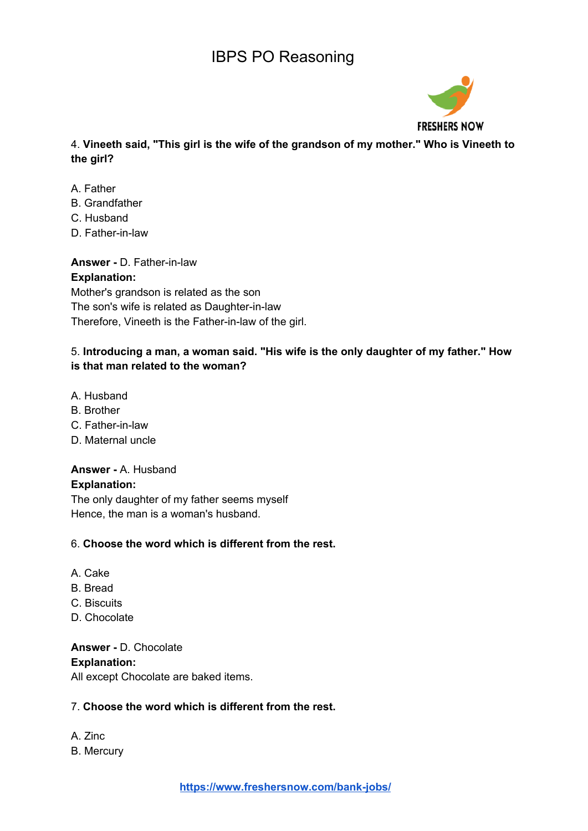

4. **Vineeth said, "This girl is the wife of the grandson of my mother." Who is Vineeth to the girl?**

- A. Father
- B. Grandfather
- C. Husband
- D. Father-in-law

**Answer -** D. Father-in-law

#### **Explanation:**

Mother's grandson is related as the son The son's wife is related as Daughter-in-law Therefore, Vineeth is the Father-in-law of the girl.

## 5. **Introducing a man, a woman said. "His wife is the only daughter of my father." How is that man related to the woman?**

- A. Husband
- B. Brother
- C. Father-in-law
- D. Maternal uncle

## **Answer -** A. Husband

#### **Explanation:**

The only daughter of my father seems myself Hence, the man is a woman's husband.

## 6. **Choose the word which is different from the rest.**

- A. Cake
- B. Bread
- C. Biscuits
- D. Chocolate

**Answer -** D. Chocolate **Explanation:**

All except Chocolate are baked items.

## 7. **Choose the word which is different from the rest.**

A. Zinc B. Mercury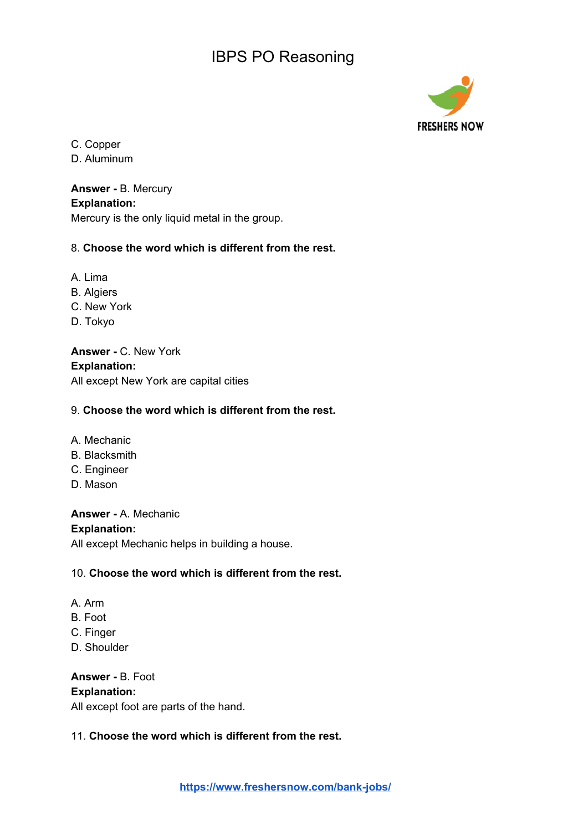

C. Copper

D. Aluminum

#### **Answer -** B. Mercury **Explanation:**

Mercury is the only liquid metal in the group.

## 8. **Choose the word which is different from the rest.**

- A. Lima
- B. Algiers
- C. New York
- D. Tokyo

**Answer -** C. New York **Explanation:** All except New York are capital cities

## 9. **Choose the word which is different from the rest.**

- A. Mechanic
- B. Blacksmith
- C. Engineer
- D. Mason

# **Answer -** A. Mechanic

#### **Explanation:**

All except Mechanic helps in building a house.

## 10. **Choose the word which is different from the rest.**

- A. Arm
- B. Foot
- C. Finger
- D. Shoulder

**Answer -** B. Foot **Explanation:** All except foot are parts of the hand.

## 11. **Choose the word which is different from the rest.**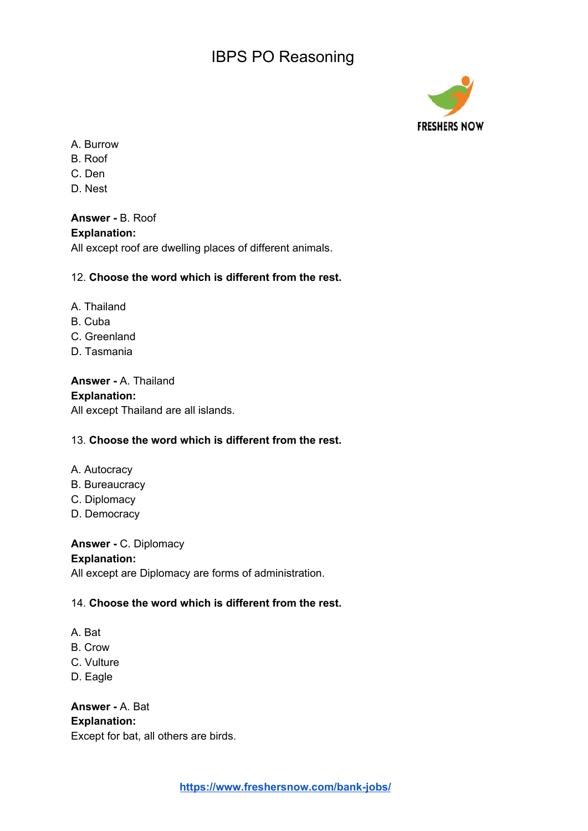

- A. Burrow
- B. Roof
- C. Den
- D. Nest

**Answer -** B. Roof **Explanation:**

All except roof are dwelling places of different animals.

## 12. **Choose the word which is different from the rest.**

- A. Thailand
- B. Cuba
- C. Greenland
- D. Tasmania

**Answer -** A. Thailand **Explanation:** All except Thailand are all islands.

## 13. **Choose the word which is different from the rest.**

- A. Autocracy
- B. Bureaucracy
- C. Diplomacy
- D. Democracy

#### **Answer -** C. Diplomacy

#### **Explanation:**

All except are Diplomacy are forms of administration.

#### 14. **Choose the word which is different from the rest.**

- A. Bat
- B. Crow
- C. Vulture
- D. Eagle

**Answer -** A. Bat **Explanation:** Except for bat, all others are birds.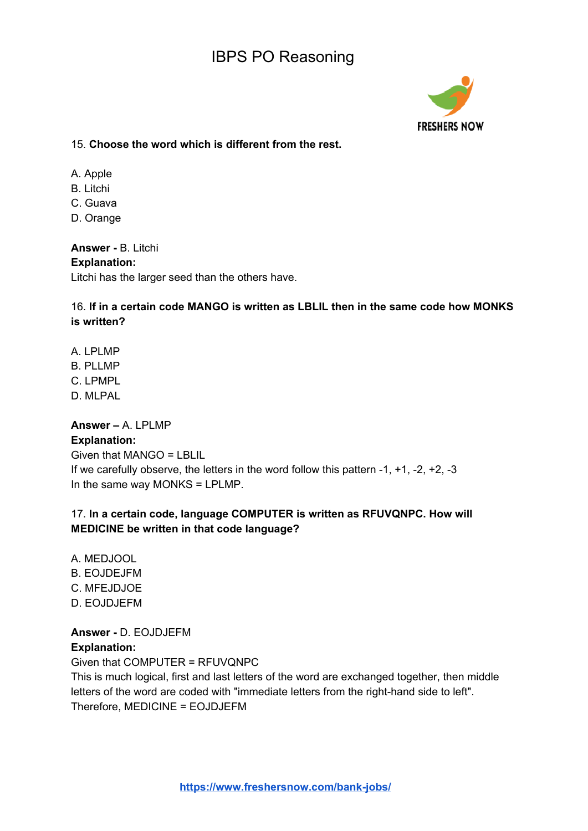

15. **Choose the word which is different from the rest.**

- A. Apple
- B. Litchi
- C. Guava
- D. Orange

**Answer -** B. Litchi **Explanation:** Litchi has the larger seed than the others have.

16. **If in a certain code MANGO is written as LBLIL then in the same code how MONKS is written?**

- A. LPLMP
- B. PLLMP
- C. LPMPL
- D. MLPAL

## **Answer –** A. LPLMP

#### **Explanation:**

Given that MANGO = LBLIL If we carefully observe, the letters in the word follow this pattern -1, +1, -2, +2, -3 In the same way MONKS = LPLMP.

## 17. **In a certain code, language COMPUTER is written as RFUVQNPC. How will MEDICINE be written in that code language?**

- A. MEDJOOL B. EOJDEJFM C. MFEJDJOE
- D. EOJDJEFM

**Answer -** D. EOJDJEFM **Explanation:** Given that COMPUTER = RFUVQNPC

This is much logical, first and last letters of the word are exchanged together, then middle letters of the word are coded with "immediate letters from the right-hand side to left". Therefore, MEDICINE = EOJDJEFM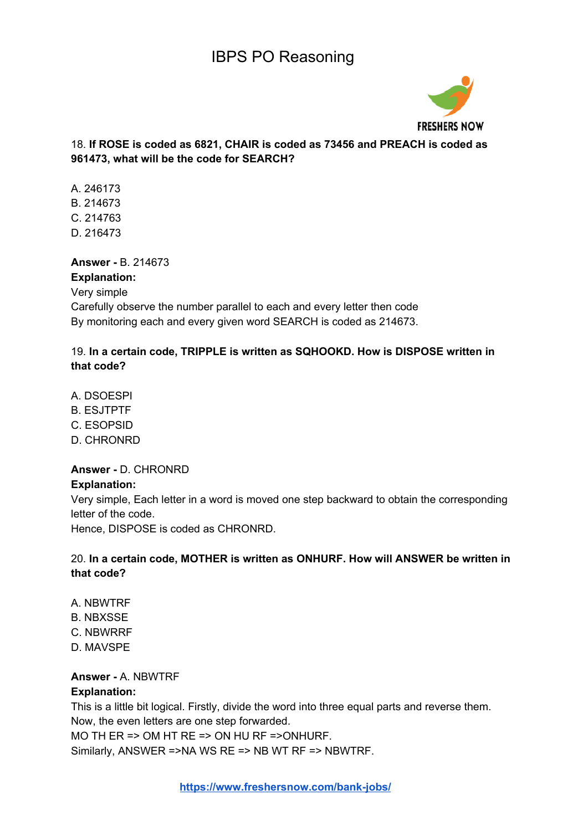

## 18. **If ROSE is coded as 6821, CHAIR is coded as 73456 and PREACH is coded as 961473, what will be the code for SEARCH?**

- A. 246173 B. 214673 C. 214763
- D. 216473

## **Answer -** B. 214673

**Explanation:** Very simple Carefully observe the number parallel to each and every letter then code By monitoring each and every given word SEARCH is coded as 214673.

## 19. **In a certain code, TRIPPLE is written as SQHOOKD. How is DISPOSE written in that code?**

- A. DSOESPI
- B. ESJTPTF
- C. ESOPSID
- D. CHRONRD

## **Answer -** D. CHRONRD

#### **Explanation:**

Very simple, Each letter in a word is moved one step backward to obtain the corresponding letter of the code.

Hence, DISPOSE is coded as CHRONRD.

## 20. **In a certain code, MOTHER is written as ONHURF. How will ANSWER be written in that code?**

- A. NBWTRF
- B. NBXSSE
- C. NBWRRF
- D. MAVSPE

## **Answer -** A. NBWTRF

#### **Explanation:**

This is a little bit logical. Firstly, divide the word into three equal parts and reverse them. Now, the even letters are one step forwarded.

MO TH ER => OM HT RE => ON HU RF =>ONHURF.

Similarly, ANSWER =>NA WS RE => NB WT RF => NBWTRF.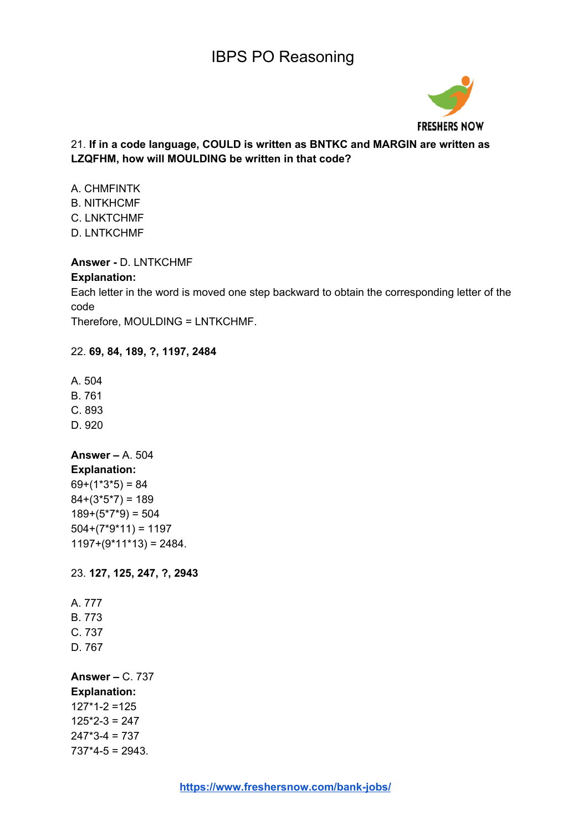

## 21. **If in a code language, COULD is written as BNTKC and MARGIN are written as LZQFHM, how will MOULDING be written in that code?**

A. CHMFINTK B. NITKHCMF C. LNKTCHMF D. LNTKCHMF

#### **Answer -** D. LNTKCHMF

#### **Explanation:**

Each letter in the word is moved one step backward to obtain the corresponding letter of the code

Therefore, MOULDING = LNTKCHMF.

#### 22. **69, 84, 189, ?, 1197, 2484**

A. 504

B. 761

C. 893

D. 920

#### **Answer –** A. 504 **Explanation:**

 $69+(1*3*5) = 84$  $84+(3*5*7) = 189$  $189+(5*7*9) = 504$  $504+(7*9*11) = 1197$  $1197+(9*11*13) = 2484.$ 

23. **127, 125, 247, ?, 2943**

A. 777 B. 773 C. 737 D. 767

**Answer –** C. 737 **Explanation:**  $127*1-2 = 125$  $125*2-3 = 247$  $247*3-4 = 737$  $737*4-5 = 2943.$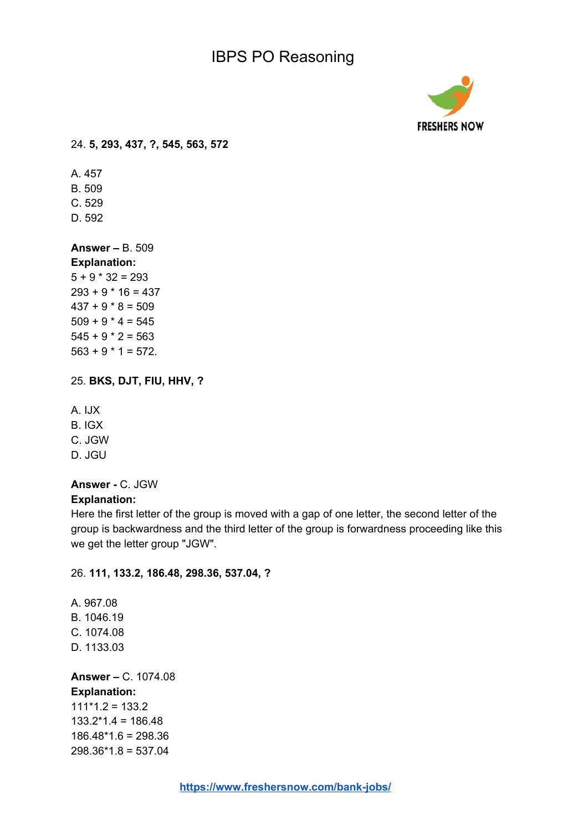

24. **5, 293, 437, ?, 545, 563, 572**

A. 457 B. 509 C. 529 D. 592

**Answer –** B. 509 **Explanation:**  $5 + 9 * 32 = 293$  $293 + 9 * 16 = 437$  $437 + 9 * 8 = 509$  $509 + 9 * 4 = 545$  $545 + 9 * 2 = 563$ 

 $563 + 9 * 1 = 572$ .

25. **BKS, DJT, FIU, HHV, ?**

A. IJX

B. IGX

C. JGW

D. JGU

#### **Answer -** C. JGW

#### **Explanation:**

Here the first letter of the group is moved with a gap of one letter, the second letter of the group is backwardness and the third letter of the group is forwardness proceeding like this we get the letter group "JGW".

## 26. **111, 133.2, 186.48, 298.36, 537.04, ?**

A. 967.08 B. 1046.19 C. 1074.08 D. 1133.03

**Answer –** C. 1074.08 **Explanation:**  $111*1.2 = 133.2$  $133.2*1.4 = 186.48$ 186.48\*1.6 = 298.36  $298.36*1.8 = 537.04$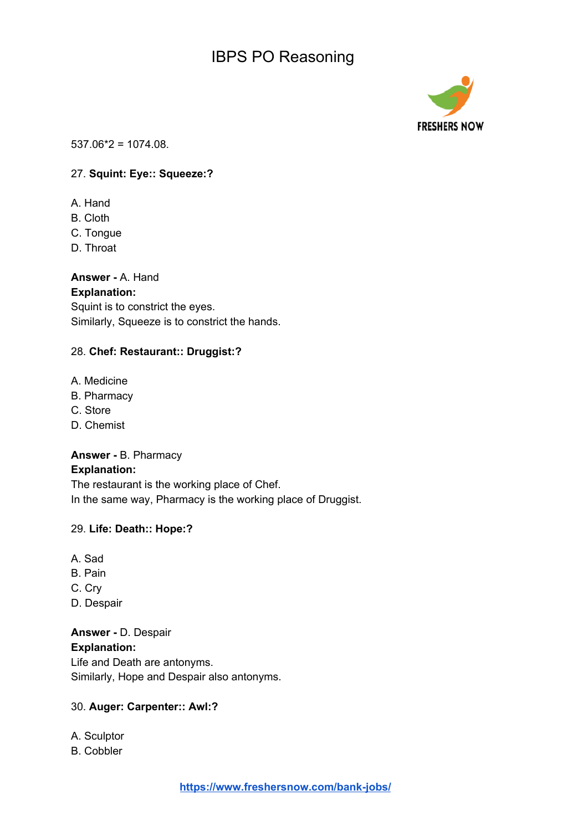

537.06\*2 = 1074.08.

#### 27. **Squint: Eye:: Squeeze:?**

- A. Hand
- B. Cloth
- C. Tongue
- D. Throat

#### **Answer -** A. Hand

#### **Explanation:**

Squint is to constrict the eyes. Similarly, Squeeze is to constrict the hands.

#### 28. **Chef: Restaurant:: Druggist:?**

- A. Medicine
- B. Pharmacy
- C. Store
- D. Chemist

#### **Answer -** B. Pharmacy

#### **Explanation:**

The restaurant is the working place of Chef. In the same way, Pharmacy is the working place of Druggist.

#### 29. **Life: Death:: Hope:?**

- A. Sad
- B. Pain
- C. Cry
- D. Despair

## **Answer -** D. Despair **Explanation:**

Life and Death are antonyms. Similarly, Hope and Despair also antonyms.

#### 30. **Auger: Carpenter:: Awl:?**

A. Sculptor

B. Cobbler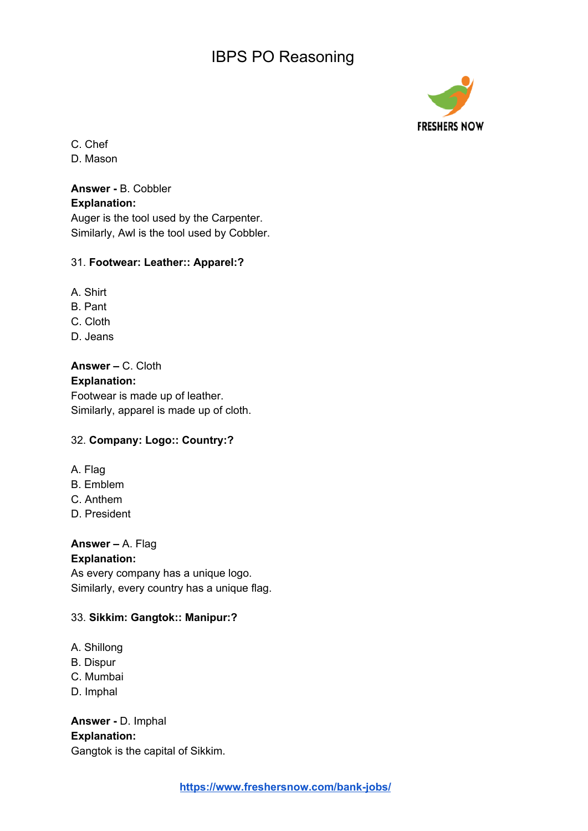

C. Chef

D. Mason

## **Answer -** B. Cobbler

#### **Explanation:**

Auger is the tool used by the Carpenter. Similarly, Awl is the tool used by Cobbler.

## 31. **Footwear: Leather:: Apparel:?**

- A. Shirt
- B. Pant
- C. Cloth
- D. Jeans

**Answer –** C. Cloth **Explanation:** Footwear is made up of leather. Similarly, apparel is made up of cloth.

## 32. **Company: Logo:: Country:?**

- A. Flag
- B. Emblem
- C. Anthem
- D. President

**Answer –** A. Flag

## **Explanation:**

As every company has a unique logo. Similarly, every country has a unique flag.

## 33. **Sikkim: Gangtok:: Manipur:?**

- A. Shillong
- B. Dispur
- C. Mumbai
- D. Imphal

**Answer -** D. Imphal **Explanation:** Gangtok is the capital of Sikkim.